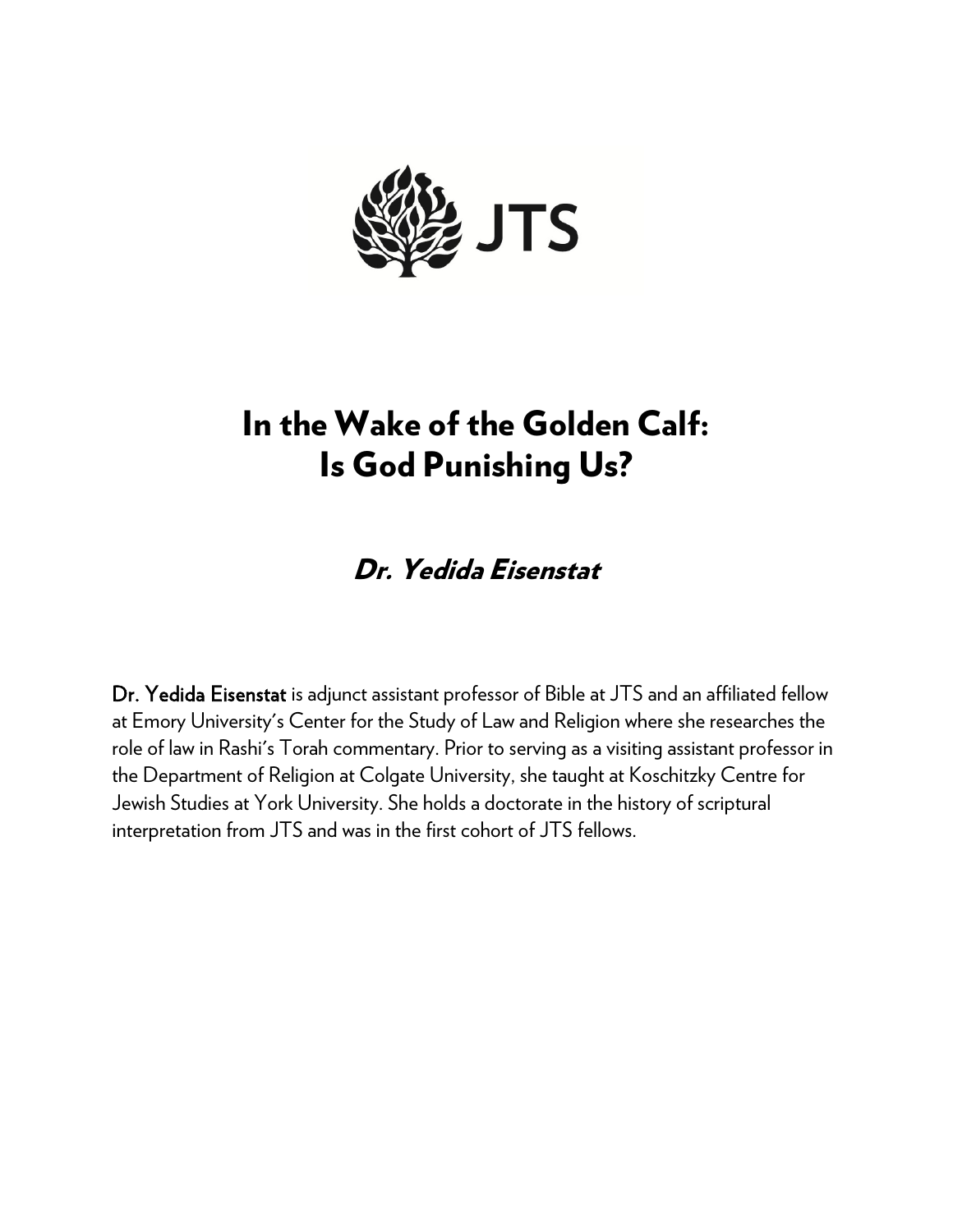

# In the Wake of the Golden Calf: Is God Punishing Us?

## Dr. Yedida Eisenstat

Dr. Yedida Eisenstat is adjunct assistant professor of Bible at JTS and an affiliated fellow at Emory University's Center for the Study of Law and Religion where she researches the role of law in Rashi's Torah commentary. Prior to serving as a visiting assistant professor in the Department of Religion at Colgate University, she taught at Koschitzky Centre for Jewish Studies at York University. She holds a doctorate in the history of scriptural interpretation from JTS and was in the first cohort of JTS fellows.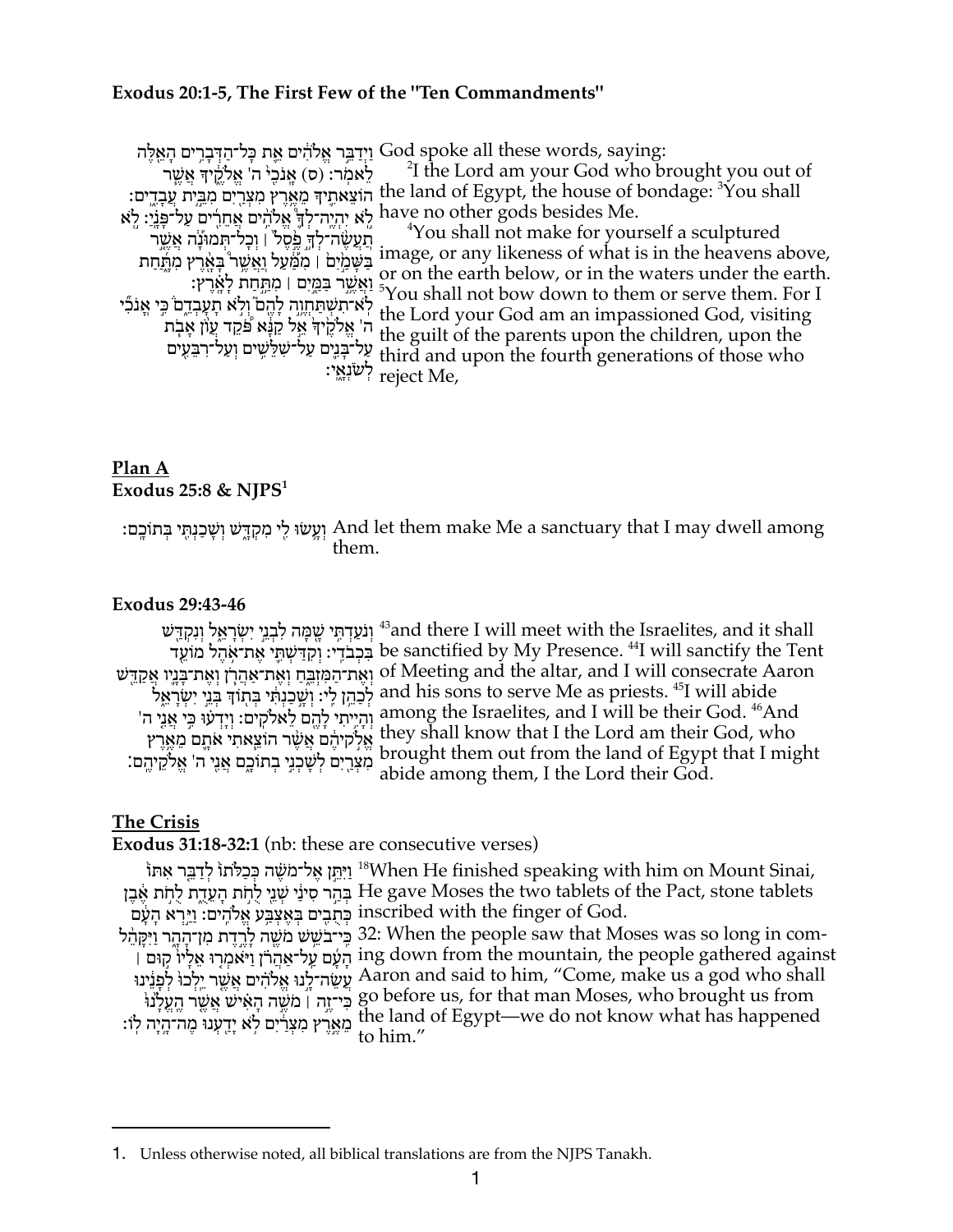## **Exodus 20:1-5, The First Few of the "Ten Commandments"**

יְדַבֵּר אֱלֹהִ֫ים אֵת כְּל־הַדְּבְרִים הְאֵלֶּה God spoke all these words, saying: לֵאמִר: (ס) אֲנֹכֵ<sup>וּ</sup> ה' אֱלֹקֵיךְ אֲשֱר הוֹצֵאתֵיךְ מֵאֱרֵץ מִצְרֵים מִבְרֵים: "Ale land of Egypt, the house of bondage: 3You shall .have no other gods besides Me לֹא יְהִיה ְלְךָ ۚ אֱלָהָים אֲחֵרִים עַל־פְּנָי׃ לֹא<br>Have no ther gods besides Me. לֹא יְהִיה ְלְךָ ۚ אֱלָהָים אֲחַרִים עַל־פְּנָי׃ לֹא ְתֲעֲשֶׂה־לְךָ בֵּׂסֵל ׁ| וְכָל־תְּמוּנָה אֲשֱר בַּשֶּׁמַׂיָם | מִמַּׁעַל וַאֲשֶׁר בַּאֲרֵץ מְ<u>תְּחַ</u>ת יִאֲ אֶיְהָ עֲלוֹ הַלֹּ דִּ הַעֲלוֹ הַלֹּ הַלְּבְלִי הַלֹּ הַלְּבְלִי הַלְּבְלִי. Turn or the earth below, or in the waters under the earth.<br>אֲ הַעֲלוֹ עֲבְלֵי ־You shall not bow down to them or serve them. For I לְא־תִשְׁתַּחְוֶה לְהֶם וְלָא תָעָבְדֵם כֵּי אֲנֹבִי ה' אֱלֹקֵיׁדְּ אֱל קַנָּׂא פֹּקֵד עֵוֹן אָבָת עַל־בְּנֶים עַל־שִׁלֵּשְׁיִים וְעַל־רִבֵּעֶים live sure function of those who the fourth generations of those who :יְאֱי reject Me, 2 I the Lord am your God who brought you out of You shall not make for yourself a sculptured image, or any likeness of what is in the heavens above, the Lord your God am an impassioned God, visiting the guilt of the parents upon the children, upon the

## **Plan A Exodus 25:8 & NJPS1**

: וְעָשׂוּ לִי מִקְדֶשׁ וְשָׁכַנְתֶּי בְּתוֹכֶם And let them make Me a sanctuary that I may dwell among them.

## **Exodus 29:43-46**

וְנֹעַדְתִּי שֶׁמָּה לִבְנֵי יִשְׂרָאֵל וְנִקְדֵּשׁ and there I will meet with the Israelites, and it shall  $\,$ בִּכְבֹדִי: וְקִדַּשְׁתֵּי אֶת־אָהֶל מוֹעֵד be sanctified by My Presence.  $^{44}$ I will sanctify the Tent וְאֶת־הַמִּוְבֵּחַ וְאֶת־אַהֲלָן וְאֶת־בְּנֶיו אֲקַדֵּשׁ of Meeting and the altar, and I will consecrate Aaron and his sons to serve Me as priests. <sup>45</sup>I will abide לְבַהֵן לְי: וְשֶׁבַנְתִּ֫י בְּתְוֹדְ בְּנֵי יִשְׂרָאֵלֹ ְהִיִּיתִי לְהֶם לֵאלקִים: וְיָדְעֹוּ בִּיֹ אֲנֵי ה' among the Israelites, and I will be their God. 46And אֱ ל֣ קיהֶ֔ ם אֲ שֶׁ֨ ר הוֹצֵ ֧ אתִ י אֹתָ ֛ ם מֵ אֶ ֥ רֶ ץ they shall know that I the Lord am their God, who brought them out from the land of Egypt that I might (מִצְרֵיִם לְשָׁכְנֵי בְתוֹכֶם אֲנֵי ה' אֱלֹקֵיהֶם: abide among them, I the Lord their God.

## **The Crisis**

**Exodus 31:18-32:1** (nb: these are consecutive verses)

ןיִתֵּן אֱל־מֹשֶׂה כְּבַלֹּתוֹ לְדַבֵּר אִתּוֹ $^{\rm 18}$ When He finished speaking with him on Mount Sinai, בְּהֵר סִינַּי שְׁנֵי לָחִת הָעֵדֶת לַחִת אֶבֶן He gave Moses the two tablets of the Pact, stone tablets ּ בְּתֶבְים בְּאֶצְבָע אֱלֹהִים: וַיַּרְא הָעָם inscribed with the finger of God.

כִּ ֽ י־בֹשֵׁ ֥ שׁ מֹשֶׁ ֖ ה לָ רֶ ֣ דֶ ת מִ ן־הָ הָ ֑ ר וַ יִּ קָּ הֵ֨ ל 32: When the people saw that Moses was so long in com-ן הָעָׁם עָל־אַהֲרֹן וַיּאמְרִוּ אֵלְיוֹ קְוּם ling down from the mountain, the people gathered against עֲשֶׂה־לָנוּ אֱלֹהִים אֲשֶׂר יֵלְבוּ לְפְנֵינוּ Aaron and said to him, "Come, make us a god who shall ָּּרִ־זֶה | מֹשֵׂה הָאִישׁ אֲשֵׂר הֱעֵלְנוּ a before us, for that man Moses, who brought us from [ :מִאֱרֶץ מִצְרֵים לְא יָדֵעְנוּ מֶה־הָיָה לְוּ: the land of Egypt—we do not know what has happened to him."

<sup>1.</sup> Unless otherwise noted, all biblical translations are from the NJPS Tanakh.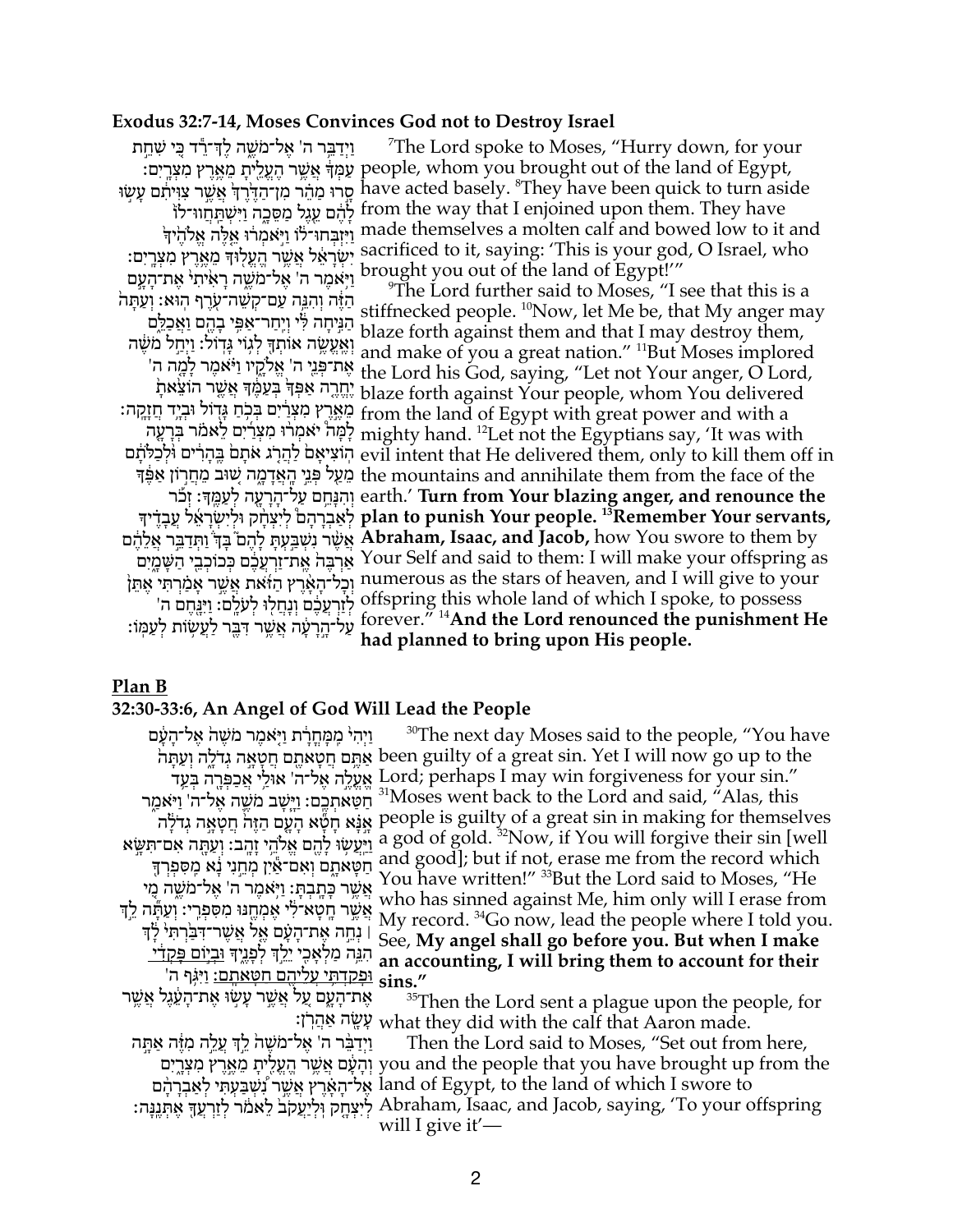#### **Exodus 32:7-14, Moses Convinces God not to Destroy Israel**

ַ וַיִדַבֵּר ה' אֶל־מֹשֵׁה לֵדְ־רָד כִּי שָׁחֵת יִיאֶל־מֹשֶׁה רָאִיֹתִי אֶת־הְעָם brought you out of the land of Egypt!''<br>די The Lord further said to Moses, "La ה זֶּה וְהָנֵה עִם־קָשֶׁה־עַרֵף הוּא: וְעִתְּה הַנִּיחָה לִּי וְיֶחַר־אַפִּי בָהֱם וַאֲכַלֵּם וְאֱעֱשֶׂה אוֹתְךָּ לְגְוֹי גָּדְוֹל: וַיְחַל מֹשֵׂה לְזַרְעֲבֶ֫ם וְנָחֲלִוּ לְעֹלֶם: וַיִּנֶּחֶם ה'

:עַמְּדָּ אֲשֶׁר הֶעֱלֵיתָ מֵאֱרֶץ מִצְרֶיִם people, whom you brought out of the land of Egypt, ּחֲרוּ מַהֵּר מִן־הַדֶּיְרָךְ אֲשֶׁר צִוִּיתִם עָשָׂוּ have acted basely. 8They have been quick to turn aside לָ הֶ֔ ם עֵ ֖ גֶ ל מַ סֵּ כָ ֑ ה וַ יִּ שְׁ תַּ ֽ חֲ ווּ־לוֹ֙ from the way that I enjoined upon them. They have וַיִּזְבְּחוּ־לֹוֹ וַיִּאמְרֹוּ אֵלָה אֱלֹהֶיךְ made themselves a molten calf and bowed low to it and : יִשְׂרָ אֵל אֲשֶׂר הֱעֱלְוּךְ מֵאֶרֶץ מִצְרֶים: sacrificed to it, saying: 'This is your god, O Israel, who 7 The Lord spoke to Moses, "Hurry down, for your

אֶ ת־פְּ נֵ ֖י ה' אֱ ל קָ ֑ יו וַ יּ ֹ֗ אמֶ ר לָ מָ ֤ ה ה' the Lord his God, saying, "Let not Your anger, O Lord, ָחֱוֶרֶה אַפְּךָ בְּעַמֶּךָ אֲשֶׁר הוֹצֵאת. blaze forth against Your people, whom You delivered ּמְאֵרֶץ מִצְרָים בְּכְם גְּדֻוֹל וּבְיֶד חֲזָקָה: from the land of Egypt with great power and with a לְמָּה יֹאמְרוּ מִצְרַיִם לֵאמֹר בְּרָעֳה the Egyptians say, 'It was with הוֹצִיאָם לַהֲרָג אֹתָם בֵּהְרִים וּלְכַלֹּתָם evil intent that He delivered them, only to kill them off in מֵעָל פְּנֵי הֶאֲדָמֱה שִׁוּב מֵחֲרָוֹן אַפֶּ֫דּ the mountains and annihilate them from the face of the וְ הִ נָּ חֵ ֥ ם עַ ל־הָ רָ עָ ֖ ה לְ עַ מֶּ ֽ ך׃ זְ כֹ֡ ר earth.' **Turn from Your blazing anger, and renounce the**  לְ אַ בְ רָ הָ ם֩ לְ יִ צְ חָ֨ ק וּלְ יִ שְׂ רָ אֵ֜ ל עֲ בָ דֶ֗ יך **plan to punish Your people. 13Remember Your servants,**  אֲ שֶׁ֨ ר נִ שְׁ בַּ ֣ עְ תָּ לָ הֶ ם֮ בָּ ך֒ וַ תְּ דַ בֵּ ֣ ר אֲ לֵ הֶ֔ ם **Abraham, Isaac, and Jacob,** how You swore to them by אַרְבֶּה אֱת־זַרְעֲבֶ֫ם כְּכוֹכְבֵי הַשָּׁמֶיִם Your Self and said to them: I will make your offspring as וְבְל־הָאָרֶץ הַזֹּאת אֲשֶׁר אָמַן numerous as the stars of heaven, and I will give to your עַ ל־הָ ֣ רָ עָ֔ ה אֲ שֶׁ ֥ ר דִּ בֶּ ֖ ר לַ עֲ שׂ֥ וֹת לְ עַ מּֽ וֹ׃ forever." <sup>14</sup>**And the Lord renounced the punishment He**  The Lord further said to Moses, "I see that this is a stiffnecked people.  $\mathbb{P}^1$ Now, let Me be, that My anger may blaze forth against them and that I may destroy them, and make of you a great nation." <sup>11</sup>But Moses implored offspring this whole land of which I spoke, to possess **had planned to bring upon His people.**

## **Plan B**

### **32:30-33:6, An Angel of God Will Lead the People**

וַיִּהִי מֶמַּחֲרָת וַיִּאמֶר מֹשֶׁה אֱל־הַעָּם אַתֱם חֲטָאַתֶם חֲטָאָה גְדֹלֶה וְעַתְּהֹ been guilty of a great sin. Yet I will now go up to the אֱעֱלֶה אֱל־ה' אוּלֵי אֲבַפִּרֶה בְּעֵד Lord; perhaps I may win forgiveness for your sin." חַטַּאתִבֱם: וַיֵּשָׁב מֹשֱה אֱל־ה' וַיּאמֵר ֹאֲ חָשָׁ הָעֶם הַזֶּה הְטָאָה גְדֹלָה Agpeople is guilty of a great sin in making for themselves הְעֻם הַזֶּה וַ יַּעֲשֶׂוּ לַהֱם אֱלֹהֵי זַהֲב: וְעָתָּה אִם־תִּשֵּׂא ּ חַטַּאַתָם וְאִם־אַיִן מְחֵנִי נַא מֵסִפְרְדָּ אֲשֱר כָּתֲבִתָּ: וַיִּאמֵר ה' אֱל־מֹשֵׁה מֶי אֲשֱר חֲטָא־לִי אֶמְחֵנּוּ מִסִּבְרִי: וְעַתָּٔה לֵדְ ׀ נְ חֵ ֣ ה אֶ ת־הָ עָ֗ ם אֶ ֤ ל אֲ שֶׁ ר־דִּ בַּ֙ רְ תִּ י֙ לָ֔ ך הִגָּה מַלְאָכֶי יֵלֵךְ לְפָגֶיֶךָ וּ<u>בְיוֹם פִּקְדִי</u> וּפָ קַ דְ תִּ ֥ י עֲ לֵ יהֶ ֖ ם חַ טָּ אתָ ֽ ם׃ וַ יִּ גֹּ֥ ף ה' **sins."** אֶת־הָעָם עַל אֲשֶׁר עַשׂוּ אֶת־הַעָּׁנֶל אֲשֵׁר <sup>30</sup>The next day Moses said to the people, "You have <sup>31</sup>Moses went back to the Lord and said, "Alas, this a god of gold. 32Now, if You will forgive their sin [well and good]; but if not, erase me from the record which You have written!" <sup>33</sup>But the Lord said to Moses, "He who has sinned against Me, him only will I erase from My record. <sup>34</sup>Go now, lead the people where I told you. See, **My angel shall go before you. But when I make an accounting, I will bring them to account for their**  <sup>35</sup>Then the Lord sent a plague upon the people, for

שְׂה אַהֲרֹן: what they did with the calf that Aaron made. וַיִדַבֶּר ה' אֱל־מֹשֶׁהֹ לֵדְ עֲלֵה מְזֶ֫ה אַתֲה יְהָעָ֫ם אֲשֶׁר הֱעֱלִיתָ מֵאֱרֶץ מִצְרֶיִם you and the people that you have brought up from the אֱל־הָאָרֶץ אֲשֱר יָנִשְׁבַּעְתִּי לְאַבְרָהָם land of Egypt, to the land of which I swore to : לְיִצְחֶק וְּלְיַעֲקֹבׂ לֵאמֹׂר לְזַרְעֲדָּ אֶתְּגֵנָה Abraham, Isaac, and Jacob, saying, 'To your offspring Then the Lord said to Moses, "Set out from here, will I give it'—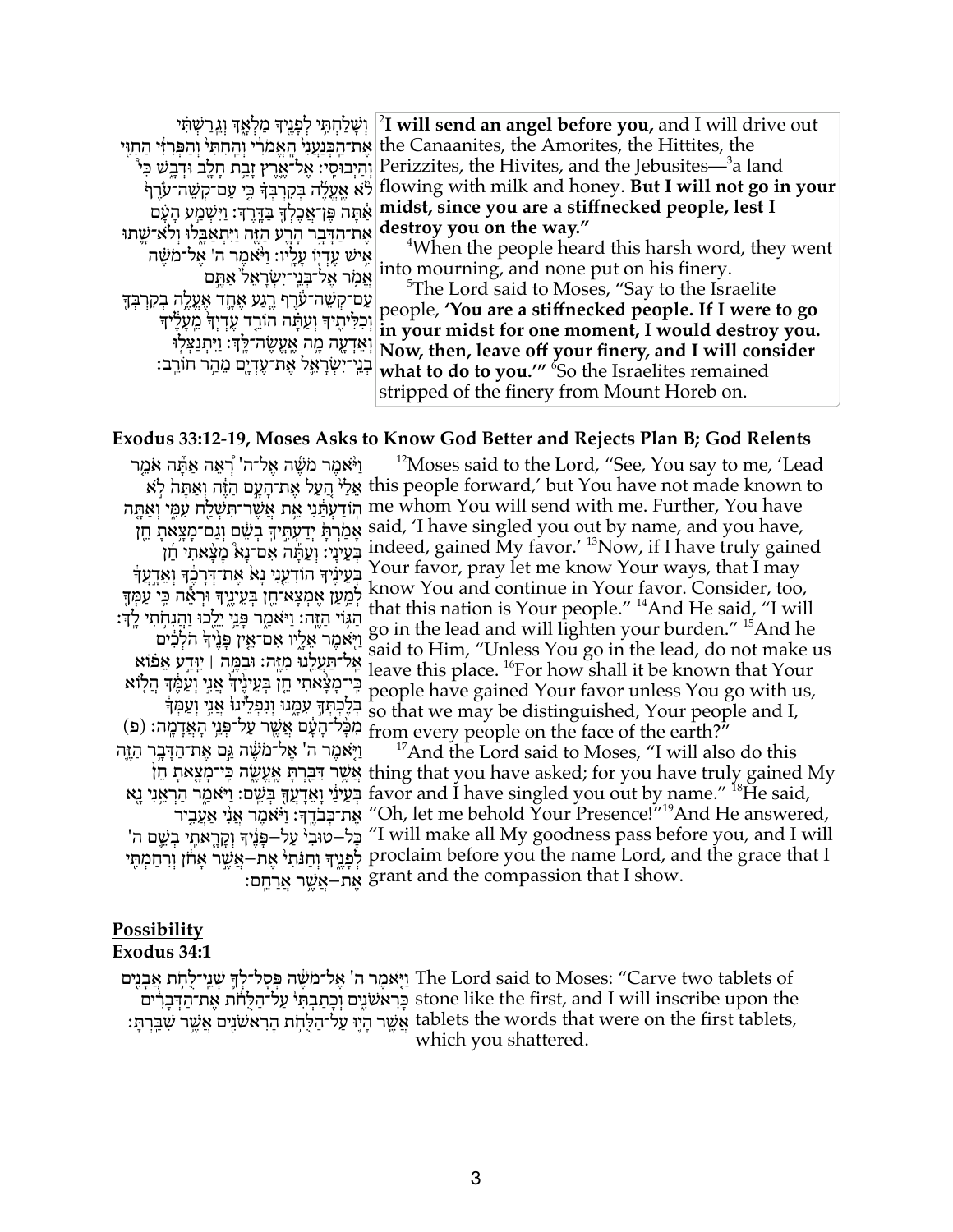וְ שָׁ לַ חְ תִּ ֥ י לְ פָ נֶ ֖יך מַ לְ אָ ֑ ך וְ גֵ ֽ רַ שְׁ תִּ֗ י 2 **I will send an angel before you,** and I will drive out אֶת־הַכְּנַעֲנִי הֲאֱמֹרִי וְהַחִתִּי וְהַפְּרִדִּי הַחִוִי khe Canaanites, the Amorites, the Hittites, the [ ּוְהַיְבוּסִי: אֱל־אֱרֶץ זָבְת חְלֶב וּדְבֶשׁ בִּי $\vert$ Perizzites, the Hivites, and the Jebusites— $^3$ a land ל ֹ֨ א אֶ ֽ עֱ לֶ֜ ה בְּ קִ רְ בְּ ך֗ כִּ ֤ י עַ ם־קְ שֵׁ ה־ע ֹ֙ רֶ ף֙ flowing with milk and honey. **But I will not go in your** אַ֔ תָּ ה פֶּ ן־אֲ כֶ לְ ך֖ בַּ דָּ ֽ רֶ ך׃ וַ יִּ שְׁ מַ ֣ ע הָ עָ֗ ם **midst, since you are a stiffnecked people, lest I**  אֶת־הַדָּבֶר הָרֶע הַזֶּה וַיִּתְאַבְּלוּ וְלֹאישָׁתוּ אִישׁ עֵדְיִוֹ עַלֵיו: וַי<sup>ּנְ</sup>אמֵר ה' אֵל־מֹשֵּׂה אֱמָר אֶל־בְּנֵי־יִשְׂרָאֵל אַחֱם עַם־קִשֶּׁה־עֹרֵף רֶגַע אֶחֱד אֱעֱלֶה בִקְרִבְּדֶּ וְכִלִּיתָיךָ וְעַתָּה הוֹרֵד עֵדְיִךָ מֵעָלֵיךָ וְאֵדְעֶה מֶה אֶעֱשֶׂה־לֶּךְּ: וַיִּתְנַצְּל<del>ָ</del>וּ ּ בְנֵי־יִשְׂרָאֱל אֶת־עֵדְיָם מֵהֵר חוֹרֵב: **destroy you on the way."** 4 When the people heard this harsh word, they went into mourning, and none put on his finery. 5 The Lord said to Moses, "Say to the Israelite people, **'You are a stiffnecked people. If I were to go in your midst for one moment, I would destroy you. Now, then, leave off your finery, and I will consider**  what to do to you."<sup>6</sup>So the Israelites remained

#### stripped of the finery from Mount Horeb on.

#### **Exodus 33:12-19, Moses Asks to Know God Better and Rejects Plan B; God Relents**

וַ יּאמֶר מֹשֶׁה אֵל־ה' רְאֱה אַתֶּה אֹמֵר ּ בְּעֵינֵידִּ הוֹדְעֵנִי נָא אֶת־דְּרָכֶדְ וְאֵדָעַדְ לְמֵעַן אֵמְצָא־חֵן בִּעֵינֵיְךָ וּרְאֵׂה כֵּי עַמְּךָ ָהְגּוֹי הַזֶּהָ: וִיּאָמַר פּּנִי יֵלֶכוּ וַהְנָחֹתֵי לִדְּ אַל־תַּעֲלֵנוּ מְזֶה: וּבַמֱה | יִוּדֵע אֵפֹוֹא כִּי־מָצָ֫אתִי חֵן בִּעֵינֵיֽדְּ אֲנֵי וְעַמֶּ֫דְּ הֲלִוֹא בְּלֵכְתְּךָ עָמֶנוּ וְנִפְלֵינוּ אֲנֵי וְעַמְדִּ ּוַיִּאמֶר ה' אֱל־מֹשֶׁה גַּם אֱת־הַדַּבֵר הַזֶּה

אֵלַיٚ הֲעַל אֶת־הָעֱם הַזֶּה וְאַתְּהֹ לָא this people forward,' but You have not made known to הְוֹדַעְתַּ֫נִי אֵת אֲשֶׁר־תִּשְׁלֵַּח עִמֶּי וְאַתֶּה me whom You will send with me. Further, You have אָמַרְהָּ יְדַעְתִּיךָ בְשֵׁם וְגַם־מָצָאת חֵזְ said, 'I have singled you out by name, and you have,  $\frac{1}{2}$ בְּעֵינֶי׃ וְעַתְּٔה אִם־נָא מְצָאתִי חֵׁן indeed, gained My favor.' 13Now, if I have truly gained ּיִי יִיאָר יִחְיָר אַ אֲדֶ יְצֵבְ יְצֵב יִדְנְיִה, יִי יִצְבֵ יָבְר יִחֲלָהָ, do in the lead and will lighten your burden." i<sup>5</sup>And he<br>אָפֶר אֱלֶע אָם־אֱז פְּנֶיךָ הֹלְלִים coid to Him "Unloss You so in the lead do pot m ּהְבְּל־הָעָ֫ם אֲשֶׁר עַל־פְּגֵי הְאֲדָמֶה: (פ) from every people on the face of the earth?"<br>וַיָּאמֶר ה' אֶל־מֹשֶׂה גַּם אֶת־הַדְּבֶר הַזֶּה . [2] "And the Lord said to Moses, "I will also do this  $12$ Moses said to the Lord, "See, You say to me, 'Lead Your favor, pray let me know Your ways, that I may know You and continue in Your favor. Consider, too, that this nation is Your people."  $^{14}$ And He said, "I will said to Him, "Unless You go in the lead, do not make us leave this place. 16For how shall it be known that Your people have gained Your favor unless You go with us, so that we may be distinguished, Your people and I,

ּאֲ שֱִׂי דִּבְּרְתָּ אֶעֱשֱהּ כִּי־מָצֵאתָ חֵן thing that you have asked; for you have truly gained My בְּעֵינַּי וָאֵדְעֲךָּ בְּשֵׁם: וַיּאמַר הַרְאֵנִי גֵא favor and I have singled you out by name." <sup>18</sup>He said, יִאמֶר אֲנִי אַעֲבִיר (Oh, let me behold Your Presence!''<sup>19</sup>And He answered, 'בְּלְ שֵׁ יִבְעֲ הָיִדְ יִקְרָאתִי בְשֵׁם ה' (I will make all My goodness pass before you, and I will לְפָּנֶיךְ וְחַנֹּתִי אֶת–אֲשֶׁר אָחֹן וְרִחַמְתִּי (proclaim before you the name Lord, and the grace that I אֶת–אֲשֶׁר אֲרַחֵם: grant and the compassion that I show.

## **Possibility**

#### **Exodus 34:1**

יִ יִאמֶר ה' אֶל־מֹשֶּׂה פְּסָל־לְךָּ שְׁנֵי־לֻחְת אֲבְנִים The Lord said to Moses: "Carve two tablets of ּ כָּרְאשֹׁנֵים וְכָתַבְתִּיּ עַל־הַלֻּחֹׁת אֶת־הַדְּבָרִים stone like the first, and I will inscribe upon the : אֲשֶׁר הָיֶוּ עַל־הַלָּחְת הְרָאשֹׁנִים אֲשֶׁר שִׁבְּרְתָּ tablets the words that were on the first tablets, which you shattered.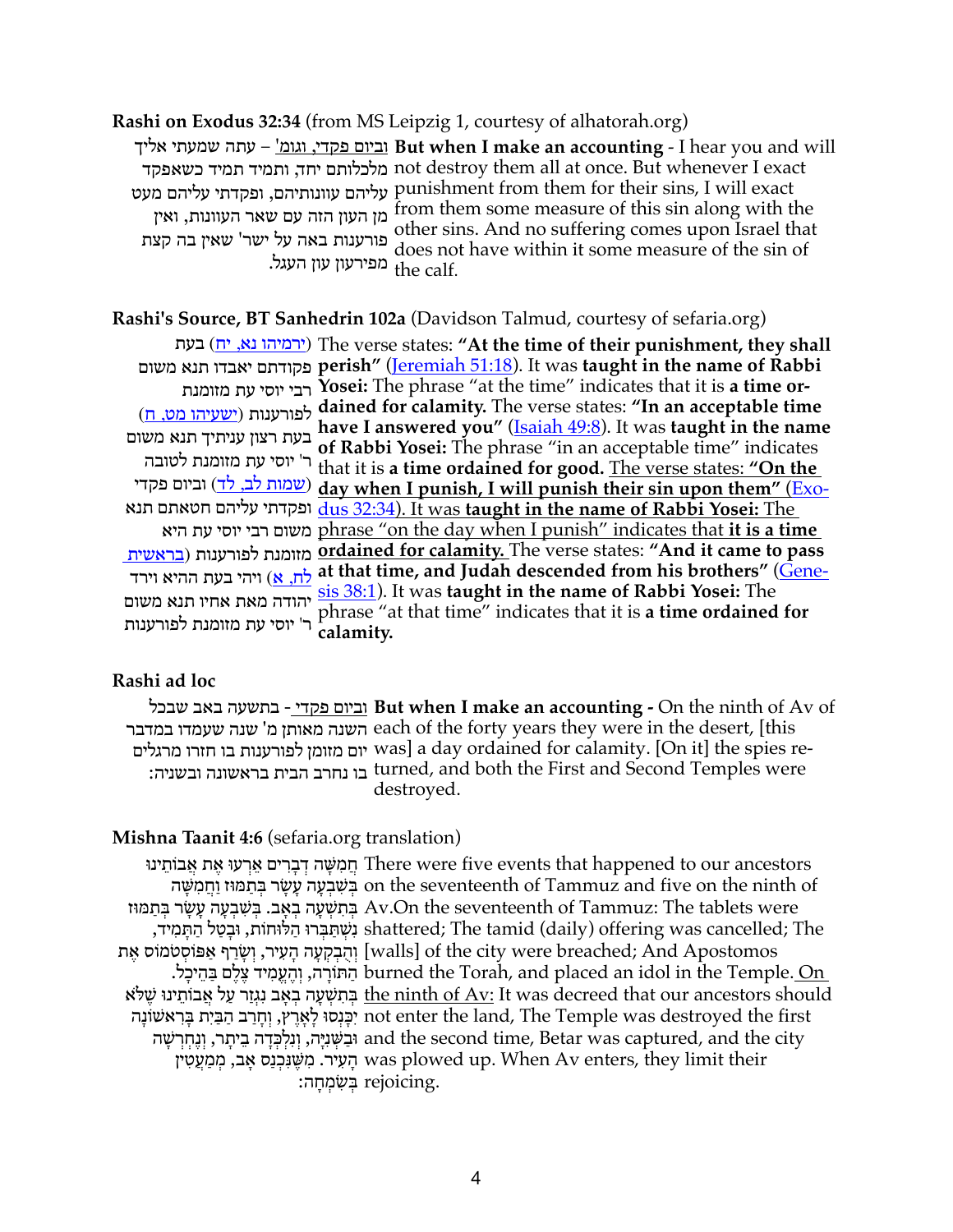#### **Rashi on Exodus 32:34** (from MS Leipzig 1, courtesy of alhatorah.org)

וביום פקדי, וגומ' – עתה שמעתי אליך **But when I make an accounting** - I hear you and will מלכלותם יחד, ותמיד תמיד כשאפקד not destroy them all at once. But whenever I exact עליהם עוונותיהם, ופקדתי עליהם מעט punishment from them for their sins, I will exact מן העון הזה עם שאר העוונות, ואין from them some measure of this sin along with the פורענות באה על ישר' שאין בה קצת מפירעון עון העגל. other sins. And no suffering comes upon Israel that does not have within it some measure of the sin of the calf.

#### **Rashi's Source, BT Sanhedrin 102a** (Davidson Talmud, courtesy of sefaria.org)

([ירמיהו](applewebdata://73ADBADC-4AFA-487F-8819-9F3983FF644C/Jeremiah.51.18) נא, יח) בעת The verse states: **"At the time of their punishment, they shall**  פקודתם יאבדו תנא משום **perish"** ([Jeremiah 51:18](applewebdata://0D997143-3ACE-474D-957E-11D8DAA1EC72/Jeremiah.51.18)). It was **taught in the name of Rabbi**  רבי יוסי עת מזומנת **Yosei:** The phrase "at the time" indicates that it is **a time or-**לפורענות (<u>[ישעיהו](applewebdata://73ADBADC-4AFA-487F-8819-9F3983FF644C/Isaiah.49.8) מט, ח</u>) בעת רצון עניתיך תנא משום **have I answered you"** [\(Isaiah 49:8\)](applewebdata://0D997143-3ACE-474D-957E-11D8DAA1EC72/Isaiah.49.8). It was **taught in the name**  ר' יוסי עת מזומנת לטובה that it is **a time ordained for good.** The verse states: **"On the**  ([שמות](applewebdata://73ADBADC-4AFA-487F-8819-9F3983FF644C/Exodus.32.34) לב, לד) וביום פקדי **day when I punish, I will punish their sin upon them"** ([Exo-](applewebdata://0D997143-3ACE-474D-957E-11D8DAA1EC72/Exodus.32.34)ופקדתי עליהם חטאתם תנא [dus 32:34\)](applewebdata://0D997143-3ACE-474D-957E-11D8DAA1EC72/Exodus.32.34). It was **taught in the name of Rabbi Yosei:** The משום רבי יוסי עת היא phrase "on the day when I punish" indicates that **it is a time**  מזומנת לפורענות ([בראשית](applewebdata://73ADBADC-4AFA-487F-8819-9F3983FF644C/Genesis.38.1) **ordained for calamity.** The verse states: **"And it came to pass**  [לח](applewebdata://73ADBADC-4AFA-487F-8819-9F3983FF644C/Genesis.38.1), א) ויהי בעת ההיא וירד **at that time, and Judah descended from his brothers"** ([Gene-](applewebdata://0D997143-3ACE-474D-957E-11D8DAA1EC72/Genesis.38.1)יהודה מאת אחיו תנא משום [sis 38:1\)](applewebdata://0D997143-3ACE-474D-957E-11D8DAA1EC72/Genesis.38.1). It was **taught in the name of Rabbi Yosei:** The ר' יוסי עת מזומנת לפורענות **dained for calamity.** The verse states: **"In an acceptable time of Rabbi Yosei:** The phrase "in an acceptable time" indicates phrase "at that time" indicates that it is **a time ordained for calamity.**

#### **Rashi ad loc**

וביום פקדי - בתשעה באב שבכל **But when I make an accounting -** On the ninth of Av of השנה מאותן מ' שנה שעמדו במדבר each of the forty years they were in the desert, [this יום מזומן לפורענות בו חזרו מרגלים was] a day ordained for calamity. [On it] the spies re-בו נחרב הבית בראשונה ובשניה: turned, and both the First and Second Temples were destroyed.

#### **Mishna Taanit 4:6** (sefaria.org translation)

חֲמִשָּׁה דְבָרִים אֵרְעוּ אֶת אֲבוֹתֵינוּ There were five events that happened to our ancestors בְּשָּׁבְעָה עָשָׂר בְּתַמּוּז וַחֲמִשָּׁה on the seventeenth of Tammuz and five on the ninth of בְּתִשְׁעָה בְאָב. בְּשִׁבְעָה עָשָׂר בְּתַמּוּז Av.On the seventeenth of Tammuz: The tablets were נִ שְׁ תַּ בְּ רוּ הַ לּוּחוֹת, וּבָ טַ ל הַ תָּ מִ יד, shattered; The tamid (daily) offering was cancelled; The וְהֶבְקְעָה הָעִיר, וְשָׂרַף אַפּוֹסְטֹמוֹס אֶת [walls] of the city were breached; And Apostomos הַתּוֹרָה, וְהֶעֱמִיד צֶלֶם בַּהֵיכָל. furned the Torah, and placed an idol in the Temple. <u>On</u> בְּתִשְׁעָה בְאָב נִגְזַר עַל אֲבוֹתֵינוּ שֶׁלֹּא <u>the ninth of Av:</u> It was decreed that our ancestors should יִבְּנְסוּ לָאָרֶץ, וְחָרַב הַבִּיִת בְּרִאשׁוֹנָה not enter the land, The Temple was destroyed the first וּבַשְּׁנִיָּה, וְנִלְכְּדָה בֵיתָר, וְנֶחְרְשָׁה and the second time, Betar was captured, and the city הָעִיר. מִשֶּׁנִּכְנַס אָב, מְמַעֲטִין was plowed up. When Av enters, they limit their : בְּשָּׂמְחָה rejoicing.